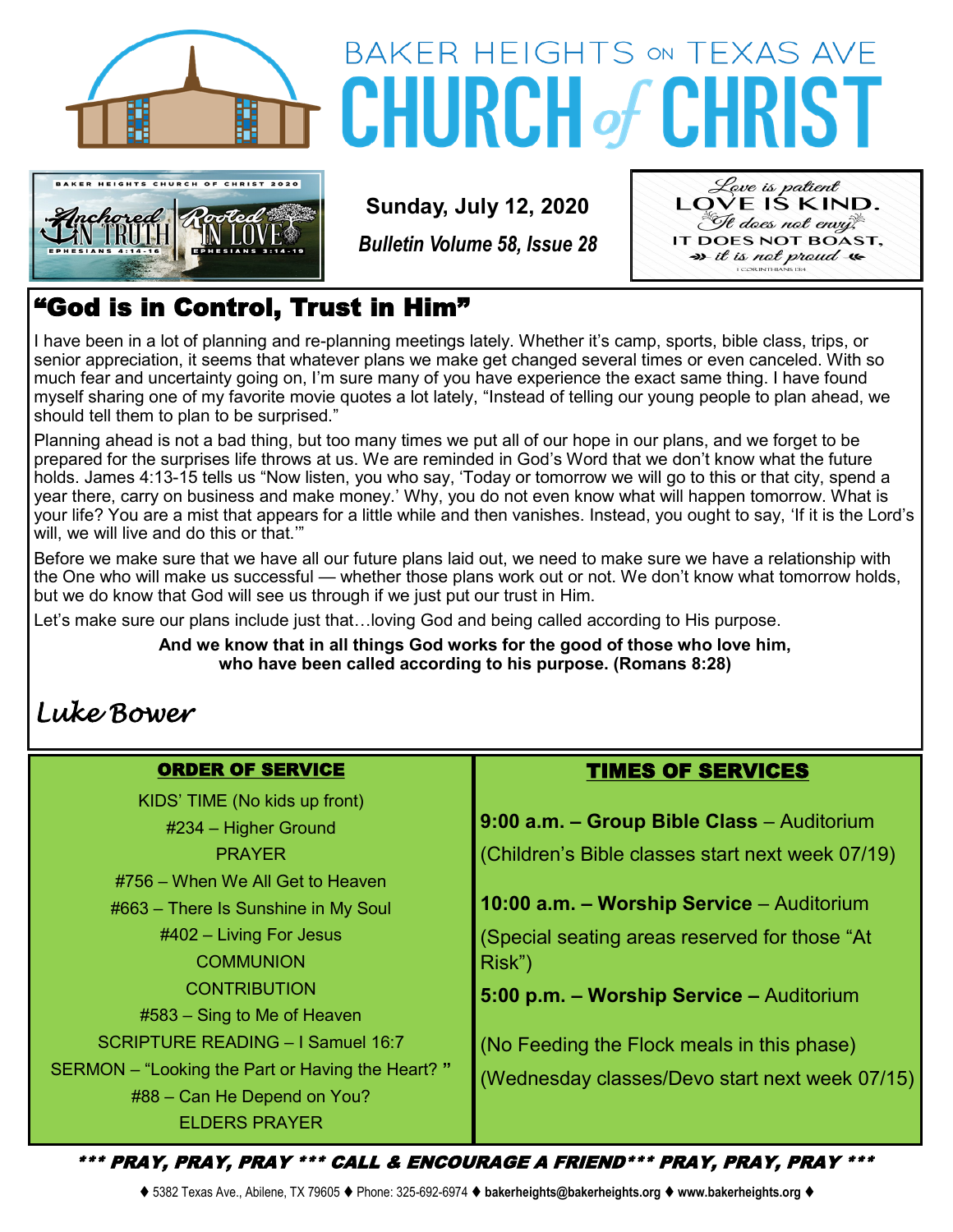



# **BAKER HEIGHTS ON TEXAS AVE CHURCH of CHRIST**

**Sunday, July 12, 2020**

*Bulletin Volume 58, Issue 28*



### "God is in Control, Trust in Him"

I have been in a lot of planning and re-planning meetings lately. Whether it's camp, sports, bible class, trips, or senior appreciation, it seems that whatever plans we make get changed several times or even canceled. With so much fear and uncertainty going on, I'm sure many of you have experience the exact same thing. I have found myself sharing one of my favorite movie quotes a lot lately, "Instead of telling our young people to plan ahead, we should tell them to plan to be surprised."

Planning ahead is not a bad thing, but too many times we put all of our hope in our plans, and we forget to be prepared for the surprises life throws at us. We are reminded in God's Word that we don't know what the future holds. James 4:13-15 tells us "Now listen, you who say, 'Today or tomorrow we will go to this or that city, spend a year there, carry on business and make money.' Why, you do not even know what will happen tomorrow. What is your life? You are a mist that appears for a little while and then vanishes. Instead, you ought to say, 'If it is the Lord's will, we will live and do this or that."

Before we make sure that we have all our future plans laid out, we need to make sure we have a relationship with the One who will make us successful — whether those plans work out or not. We don't know what tomorrow holds, but we do know that God will see us through if we just put our trust in Him.

Let's make sure our plans include just that…loving God and being called according to His purpose.

**And we know that in all things God works for the good of those who love him, who have been called according to his purpose. (Romans 8:28)**

## *Luke Bower*

#### ORDER OF SERVICE

KIDS' TIME (No kids up front) #234 – Higher Ground PRAYER #756 – When We All Get to Heaven #663 – There Is Sunshine in My Soul #402 – Living For Jesus **COMMUNION CONTRIBUTION** #583 – Sing to Me of Heaven SCRIPTURE READING – I Samuel 16:7 SERMON – "Looking the Part or Having the Heart? **"** #88 – Can He Depend on You? ELDERS PRAYER

#### TIMES OF SERVICES

**9:00 a.m. – Group Bible Class** – Auditorium (Children's Bible classes start next week 07/19) **10:00 a.m. – Worship Service** – Auditorium

(Special seating areas reserved for those "At Risk")

**5:00 p.m. – Worship Service –** Auditorium

(No Feeding the Flock meals in this phase) (Wednesday classes/Devo start next week 07/15)

\*\*\* PRAY, PRAY, PRAY \*\*\* CALL & ENCOURAGE A FRIEND\*\*\* PRAY, PRAY, PRAY \*\*\*

⧫ 5382 Texas Ave., Abilene, TX 79605 ⧫ Phone: 325-692-6974 ⧫ **bakerheights@bakerheights.org** ⧫ **www.bakerheights.org** ⧫